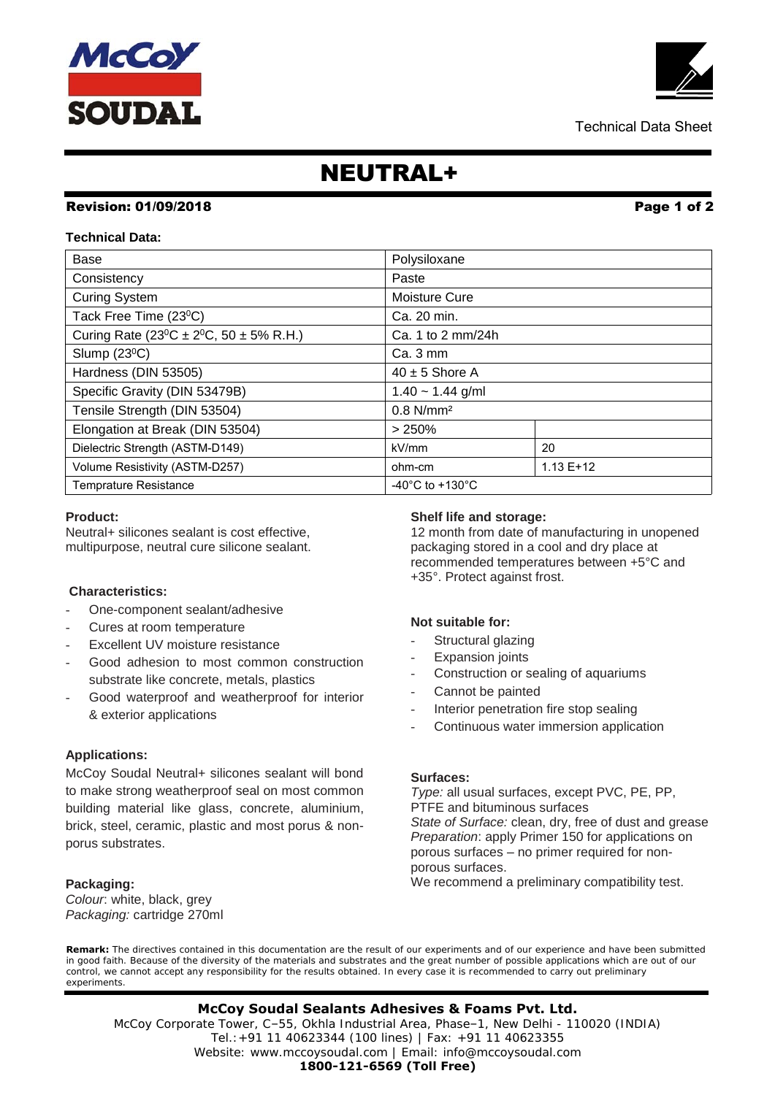# NEUTRAL+

## **Revision: 01/09/2018 Page 1 of 2**

### **Technical Data:**

| Base                                                             | Polysiloxane                          |  |
|------------------------------------------------------------------|---------------------------------------|--|
| Consistency                                                      | Paste                                 |  |
| <b>Curing System</b>                                             | Moisture Cure                         |  |
| Tack Free Time (23 <sup>o</sup> C)                               | Ca. 20 min.                           |  |
| Curing Rate (23 <sup>o</sup> C ± 2 <sup>o</sup> C, 50 ± 5% R.H.) | Ca. 1 to 2 mm/24h                     |  |
| Slump $(23^{\circ}C)$                                            | $Ca.3 \, \text{mm}$                   |  |
| Hardness (DIN 53505)                                             | $40 \pm 5$ Shore A                    |  |
| Specific Gravity (DIN 53479B)                                    | $1.40 - 1.44$ g/ml                    |  |
| Tensile Strength (DIN 53504)                                     | $0.8$ N/mm <sup>2</sup>               |  |
| Elongation at Break (DIN 53504)                                  | > 250%                                |  |
| Dielectric Strength (ASTM-D149)                                  | 20<br>kV/mm                           |  |
| Volume Resistivity (ASTM-D257)                                   | $1.13E+12$<br>ohm-cm                  |  |
| <b>Temprature Resistance</b>                                     | -40 $^{\circ}$ C to +130 $^{\circ}$ C |  |

#### **Product:**

Neutral+ silicones sealant is cost effective, multipurpose, neutral cure silicone sealant.

#### **Characteristics:**

- One-component sealant/adhesive
- Cures at room temperature
- Excellent UV moisture resistance
- Good adhesion to most common construction substrate like concrete, metals, plastics
- Good waterproof and weatherproof for interior & exterior applications

#### **Applications:**

McCoy Soudal Neutral+ silicones sealant will bond to make strong weatherproof seal on most common building material like glass, concrete, aluminium, brick, steel, ceramic, plastic and most porus & nonporus substrates.

#### **Packaging:**

*Colour*: white, black, grey *Packaging:* cartridge 270ml

#### **Shelf life and storage:**

12 month from date of manufacturing in unopened packaging stored in a cool and dry place at recommended temperatures between +5°C and +35°. Protect against frost.

#### **Not suitable for:**

- Structural glazing
- **Expansion joints**
- Construction or sealing of aquariums
- Cannot be painted
- Interior penetration fire stop sealing
- Continuous water immersion application

#### **Surfaces:**

*Type:* all usual surfaces, except PVC, PE, PP, PTFE and bituminous surfaces *State of Surface:* clean, dry, free of dust and grease *Preparation*: apply Primer 150 for applications on porous surfaces – no primer required for nonporous surfaces. We recommend a preliminary compatibility test.

**Remark:** The directives contained in this documentation are the result of our experiments and of our experience and have been submitted in good faith. Because of the diversity of the materials and substrates and the great number of possible applications which are out of our control, we cannot accept any responsibility for the results obtained. In every case it is recommended to carry out preliminary experiments.

 Tel.:+91 11 40623344 (100 lines) | Fax: +91 11 40623355 **McCoy Soudal Sealants Adhesives & Foams Pvt. Ltd.** McCoy Corporate Tower, C–55, Okhla Industrial Area, Phase–1, New Delhi - 110020 (INDIA) Website: www.mccoysoudal.com | Email: info@mccoysoudal.com **1800-121-6569 (Toll Free)**

Technical Data Sheet